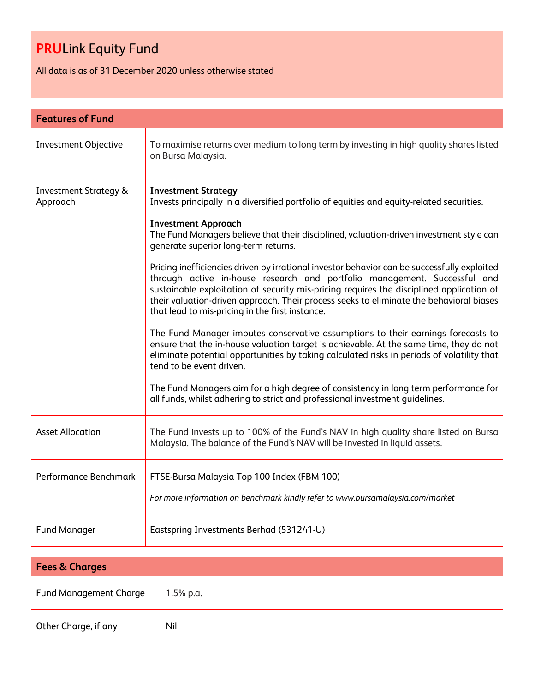All data is as of 31 December 2020 unless otherwise stated

| <b>Features of Fund</b>                      |                                                                                                                                                                                                                                                                                                                                                                                                                    |  |
|----------------------------------------------|--------------------------------------------------------------------------------------------------------------------------------------------------------------------------------------------------------------------------------------------------------------------------------------------------------------------------------------------------------------------------------------------------------------------|--|
| <b>Investment Objective</b>                  | To maximise returns over medium to long term by investing in high quality shares listed<br>on Bursa Malaysia.                                                                                                                                                                                                                                                                                                      |  |
| <b>Investment Strategy &amp;</b><br>Approach | <b>Investment Strategy</b><br>Invests principally in a diversified portfolio of equities and equity-related securities.<br><b>Investment Approach</b><br>The Fund Managers believe that their disciplined, valuation-driven investment style can                                                                                                                                                                   |  |
|                                              | generate superior long-term returns.                                                                                                                                                                                                                                                                                                                                                                               |  |
|                                              | Pricing inefficiencies driven by irrational investor behavior can be successfully exploited<br>through active in-house research and portfolio management. Successful and<br>sustainable exploitation of security mis-pricing requires the disciplined application of<br>their valuation-driven approach. Their process seeks to eliminate the behavioral biases<br>that lead to mis-pricing in the first instance. |  |
|                                              | The Fund Manager imputes conservative assumptions to their earnings forecasts to<br>ensure that the in-house valuation target is achievable. At the same time, they do not<br>eliminate potential opportunities by taking calculated risks in periods of volatility that<br>tend to be event driven.                                                                                                               |  |
|                                              | The Fund Managers aim for a high degree of consistency in long term performance for<br>all funds, whilst adhering to strict and professional investment guidelines.                                                                                                                                                                                                                                                |  |
| <b>Asset Allocation</b>                      | The Fund invests up to 100% of the Fund's NAV in high quality share listed on Bursa<br>Malaysia. The balance of the Fund's NAV will be invested in liquid assets.                                                                                                                                                                                                                                                  |  |
| Performance Benchmark                        | FTSE-Bursa Malaysia Top 100 Index (FBM 100)                                                                                                                                                                                                                                                                                                                                                                        |  |
|                                              | For more information on benchmark kindly refer to www.bursamalaysia.com/market                                                                                                                                                                                                                                                                                                                                     |  |
| <b>Fund Manager</b>                          | Eastspring Investments Berhad (531241-U)                                                                                                                                                                                                                                                                                                                                                                           |  |

| <b>Fees &amp; Charges</b>     |           |  |
|-------------------------------|-----------|--|
| <b>Fund Management Charge</b> | 1.5% p.a. |  |
| Other Charge, if any          | Nil       |  |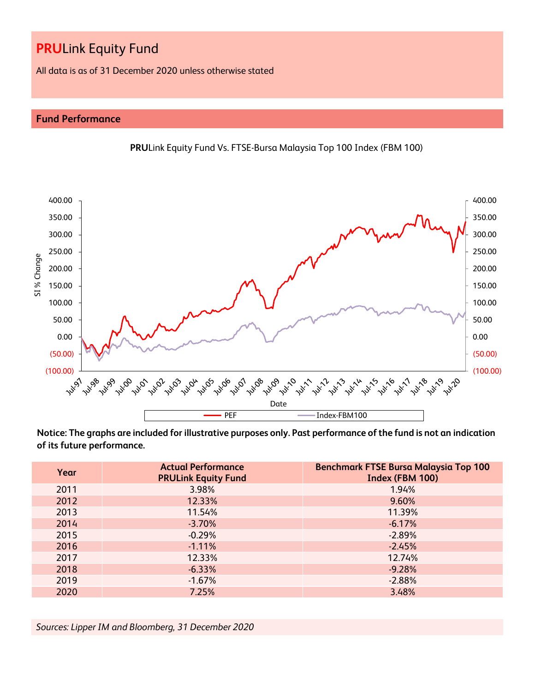All data is as of 31 December 2020 unless otherwise stated

## **Fund Performance**



**PRU**Link Equity Fund Vs. FTSE-Bursa Malaysia Top 100 Index (FBM 100)

**Notice: The graphs are included for illustrative purposes only. Past performance of the fund is not an indication of its future performance.**

| Year | <b>Actual Performance</b><br><b>PRULink Equity Fund</b> | <b>Benchmark FTSE Bursa Malaysia Top 100</b><br>Index (FBM 100) |
|------|---------------------------------------------------------|-----------------------------------------------------------------|
| 2011 | 3.98%                                                   | 1.94%                                                           |
| 2012 | 12.33%                                                  | 9.60%                                                           |
| 2013 | 11.54%                                                  | 11.39%                                                          |
| 2014 | $-3.70%$                                                | $-6.17%$                                                        |
| 2015 | $-0.29%$                                                | $-2.89%$                                                        |
| 2016 | $-1.11%$                                                | $-2.45%$                                                        |
| 2017 | 12.33%                                                  | 12.74%                                                          |
| 2018 | $-6.33%$                                                | $-9.28%$                                                        |
| 2019 | $-1.67%$                                                | $-2.88%$                                                        |
| 2020 | 7.25%                                                   | 3.48%                                                           |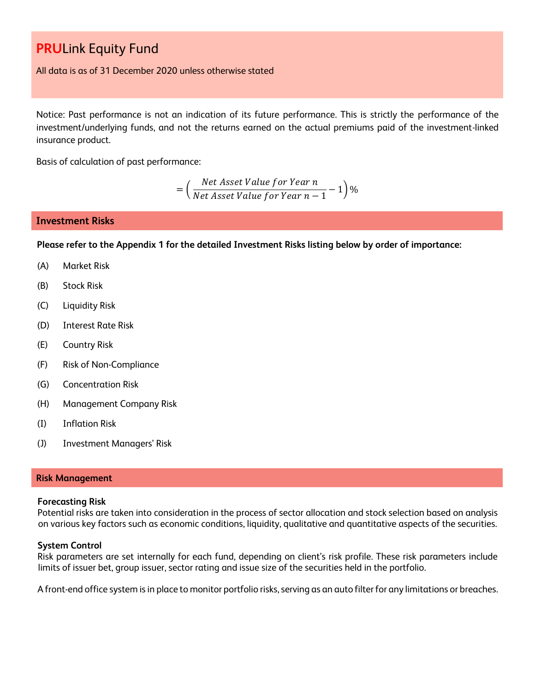All data is as of 31 December 2020 unless otherwise stated

Notice: Past performance is not an indication of its future performance. This is strictly the performance of the investment/underlying funds, and not the returns earned on the actual premiums paid of the investment-linked insurance product.

Basis of calculation of past performance:

$$
= \left(\frac{Net\text{ Asset Value for Year }n}{Net\text{ Asset Value for Year }n-1}-1\right)\%
$$

### **Investment Risks**

**Please refer to the Appendix 1 for the detailed Investment Risks listing below by order of importance:**

- (A) Market Risk
- (B) Stock Risk
- (C) Liquidity Risk
- (D) Interest Rate Risk
- (E) Country Risk
- (F) Risk of Non-Compliance
- (G) Concentration Risk
- (H) Management Company Risk
- (I) Inflation Risk
- (J) Investment Managers' Risk

### **Risk Management**

### **Forecasting Risk**

Potential risks are taken into consideration in the process of sector allocation and stock selection based on analysis on various key factors such as economic conditions, liquidity, qualitative and quantitative aspects of the securities.

### **System Control**

Risk parameters are set internally for each fund, depending on client's risk profile. These risk parameters include limits of issuer bet, group issuer, sector rating and issue size of the securities held in the portfolio.

A front-end office system is in place to monitor portfolio risks, serving as an auto filter for any limitations or breaches.